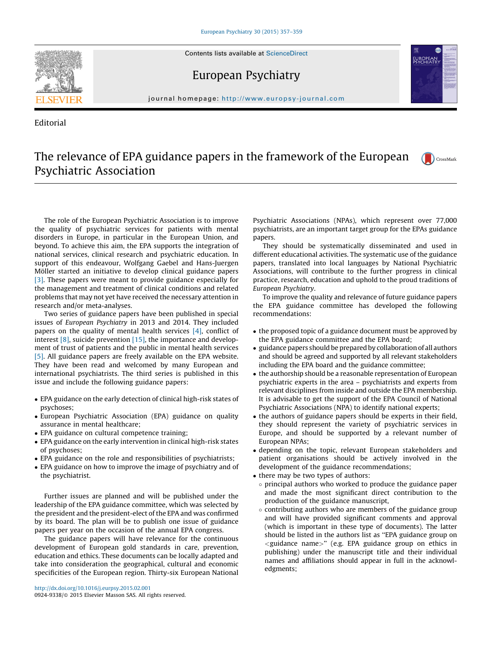Contents lists available at [ScienceDirect](http://www.sciencedirect.com/science/journal/09249338)

European Psychiatry



Editorial

**EUROPEAN**<br>PSYCHIATI

## journal homepage: http://www.europsy-journal.com

## The relevance of EPA guidance papers in the framework of the European CrossMark Psychiatric Association

The role of the European Psychiatric Association is to improve the quality of psychiatric services for patients with mental disorders in Europe, in particular in the European Union, and beyond. To achieve this aim, the EPA supports the integration of national services, clinical research and psychiatric education. In support of this endeavour, Wolfgang Gaebel and Hans-Juergen Möller started an initiative to develop clinical guidance papers [\[3\]](#page-1-0). These papers were meant to provide guidance especially for the management and treatment of clinical conditions and related problems that may not yet have received the necessary attention in research and/or meta-analyses.

Two series of guidance papers have been published in special issues of European Psychiatry in 2013 and 2014. They included papers on the quality of mental health services [\[4\]](#page-1-0), conflict of interest  $[8]$ , suicide prevention  $[15]$ , the importance and development of trust of patients and the public in mental health services [\[5\]](#page-1-0). All guidance papers are freely available on the EPA website. They have been read and welcomed by many European and international psychiatrists. The third series is published in this issue and include the following guidance papers:

- EPA guidance on the early detection of clinical high-risk states of psychoses;
- European Psychiatric Association (EPA) guidance on quality assurance in mental healthcare;
- EPA guidance on cultural competence training;
- EPA guidance on the early intervention in clinical high-risk states of psychoses;
- EPA guidance on the role and responsibilities of psychiatrists;
- EPA guidance on how to improve the image of psychiatry and of the psychiatrist.

Further issues are planned and will be published under the leadership of the EPA guidance committee, which was selected by the president and the president-elect of the EPA and was confirmed by its board. The plan will be to publish one issue of guidance papers per year on the occasion of the annual EPA congress.

The guidance papers will have relevance for the continuous development of European gold standards in care, prevention, education and ethics. These documents can be locally adapted and take into consideration the geographical, cultural and economic specificities of the European region. Thirty-six European National

Psychiatric Associations (NPAs), which represent over 77,000 psychiatrists, are an important target group for the EPAs guidance papers.

They should be systematically disseminated and used in different educational activities. The systematic use of the guidance papers, translated into local languages by National Psychiatric Associations, will contribute to the further progress in clinical practice, research, education and uphold to the proud traditions of European Psychiatry.

To improve the quality and relevance of future guidance papers the EPA guidance committee has developed the following recommendations:

- the proposed topic of a guidance document must be approved by the EPA guidance committee and the EPA board;
- guidance papers should be prepared by collaborationof all authors and should be agreed and supported by all relevant stakeholders including the EPA board and the guidance committee;
- the authorship should be a reasonable representation of European psychiatric experts in the area – psychiatrists and experts from relevant disciplines from inside and outside the EPA membership. It is advisable to get the support of the EPA Council of National Psychiatric Associations (NPA) to identify national experts;
- the authors of guidance papers should be experts in their field, they should represent the variety of psychiatric services in Europe, and should be supported by a relevant number of European NPAs;
- depending on the topic, relevant European stakeholders and patient organisations should be actively involved in the development of the guidance recommendations;
- there may be two types of authors:
	- $\circ$  principal authors who worked to produce the guidance paper and made the most significant direct contribution to the production of the guidance manuscript,
	- $\circ$  contributing authors who are members of the guidance group and will have provided significant comments and approval (which is important in these type of documents). The latter should be listed in the authors list as ''EPA guidance group on <guidance name>'' (e.g. EPA guidance group on ethics in publishing) under the manuscript title and their individual names and affiliations should appear in full in the acknowledgments;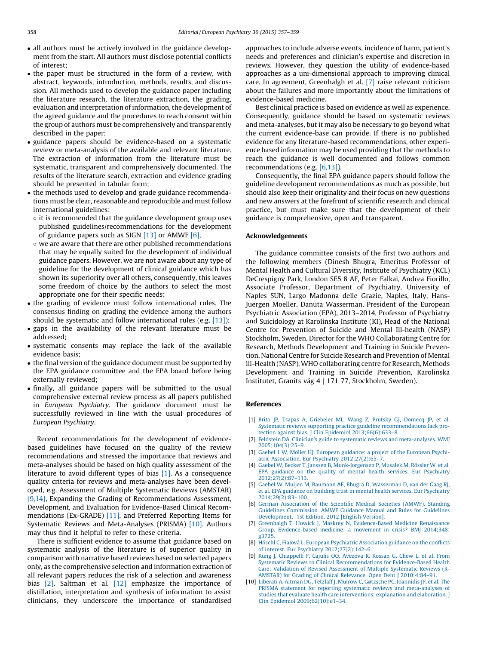- <span id="page-1-0"></span>- all authors must be actively involved in the guidance development from the start. All authors must disclose potential conflicts of interest;
- the paper must be structured in the form of a review, with abstract, keywords, introduction, methods, results, and discussion. All methods used to develop the guidance paper including the literature research, the literature extraction, the grading, evaluation and interpretation of information, the development of the agreed guidance and the procedures to reach consent within the group of authors must be comprehensively and transparently described in the paper;
- guidance papers should be evidence-based on a systematic review or meta-analysis of the available and relevant literature. The extraction of information from the literature must be systematic, transparent and comprehensively documented. The results of the literature search, extraction and evidence grading should be presented in tabular form;
- the methods used to develop and grade guidance recommendations must be clear, reasonable and reproducible and must follow international guidelines:
- $\circ$  it is recommended that the guidance development group uses published guidelines/recommendations for the development of guidance papers such as SIGN [\[13\]](#page-2-0) or AMWF [6],
- we are aware that there are other published recommendations that may be equally suited for the development of individual guidance papers. However, we are not aware about any type of guideline for the development of clinical guidance which has shown its superiority over all others, consequently, this leaves some freedom of choice by the authors to select the most appropriate one for their specific needs;
- the grading of evidence must follow international rules. The consensus finding on grading the evidence among the authors should be systematic and follow international rules (e.g. [\[13\]](#page-2-0));
- gaps in the availability of the relevant literature must be addressed;
- systematic consents may replace the lack of the available evidence basis;
- $\bullet\,$  the final version of the guidance document must be supported by the EPA guidance committee and the EPA board before being externally reviewed;
- finally, all guidance papers will be submitted to the usual comprehensive external review process as all papers published in European Psychiatry. The guidance document must be successfully reviewed in line with the usual procedures of European Psychiatry.

Recent recommendations for the development of evidencebased guidelines have focused on the quality of the review recommendations and stressed the importance that reviews and meta-analyses should be based on high quality assessment of the literature to avoid different types of bias [1]. As a consequence quality criteria for reviews and meta-analyses have been developed, e.g. Assessment of Multiple Systematic Reviews (AMSTAR) [9,14], Expanding the Grading of Recommendations Assessment, Development, and Evaluation for Evidence-Based Clinical Recommendations (Ex-GRADE) [\[11\],](#page-2-0) and Preferred Reporting Items for Systematic Reviews and Meta-Analyses (PRISMA) [10]. Authors may thus find it helpful to refer to these criteria.

There is sufficient evidence to assume that guidance based on systematic analysis of the literature is of superior quality in comparison with narrative based reviews based on selected papers only, as the comprehensive selection and information extraction of all relevant papers reduces the risk of a selection and awareness bias [2]. Saltman et al. [\[12\]](#page-2-0) emphasize the importance of distillation, interpretation and synthesis of information to assist clinicians, they underscore the importance of standardised

approaches to include adverse events, incidence of harm, patient's needs and preferences and clinician's expertise and discretion in reviews. However, they question the utility of evidence-based approaches as a uni-dimensional approach to improving clinical care. In agreement, Greenhalgh et al. [7] raise relevant criticism about the failures and more importantly about the limitations of evidence-based medicine.

Best clinical practice is based on evidence as well as experience. Consequently, guidance should be based on systematic reviews and meta-analyses, but it may also be necessary to go beyond what the current evidence-base can provide. If there is no published evidence for any literature-based recommendations, other experience based information may be used providing that the methods to reach the guidance is well documented and follows common recommendations (e.g. [6,13]).

Consequently, the final EPA guidance papers should follow the guideline development recommendations as much as possible, but should also keep their originality and their focus on new questions and new answers at the forefront of scientific research and clinical practice, but must make sure that the development of their guidance is comprehensive, open and transparent.

## Acknowledgements

The guidance committee consists of the first two authors and the following members (Dinesh Bhugra, Emeritus Professor of Mental Health and Cultural Diversity, Institute of Psychiatry (KCL) DeCrespigny Park, London SE5 8 AF, Peter Falkai, Andrea Fiorillo, Associate Professor, Department of Psychiatry, University of Naples SUN, Largo Madonna delle Grazie, Naples, Italy, Hans-Juergen Moeller, Danuta Wasserman, President of the European Psychiatric Association (EPA), 2013–2014, Professor of Psychiatry and Suicidology at Karolinska Institute (KI), Head of the National Centre for Prevention of Suicide and Mental Ill-health (NASP) Stockholm, Sweden, Director for the WHO Collaborating Centre for Research, Methods Development and Training in Suicide Prevention, National Centre for Suicide Research and Prevention of Mental lll-Health (NASP), WHO collaborating centre for Research, Methods Development and Training in Suicide Prevention, Karolinska Institutet, Granits väg 4 | 171 77, Stockholm, Sweden).

## References

- [1] Brito JP, Tsapas A, [Griebeler](http://refhub.elsevier.com/S0924-9338(15)00058-9/sbref0005) ML, Wang Z, Prutsky GJ, Domecq JP, et al. Systematic reviews supporting practice guideline [recommendations](http://refhub.elsevier.com/S0924-9338(15)00058-9/sbref0005) lack protection against bias. J Clin Epidemiol [2013;66\(6\):633–8](http://refhub.elsevier.com/S0924-9338(15)00058-9/sbref0005).
- [2] Feldstein DA. Clinician's guide to systematic reviews and [meta-analyses.](http://refhub.elsevier.com/S0924-9338(15)00058-9/sbref0010) WMJ [2005;104\(3\):25–9.](http://refhub.elsevier.com/S0924-9338(15)00058-9/sbref0010)
- [3] Gaebel 1 W, Möller HJ. European [guidance:](http://refhub.elsevier.com/S0924-9338(15)00058-9/sbref0015) a project of the European Psychiatric Association. Eur Psychiatry [2012;27\(2\):65–7](http://refhub.elsevier.com/S0924-9338(15)00058-9/sbref0015).
- [4] Gaebel W, Becker T, Janssen B, [Munk-Jorgensen](http://refhub.elsevier.com/S0924-9338(15)00058-9/sbref0020) P, Musalek M, Rössler W, et al. EPA guidance on the quality of mental health services. Eur [Psychiatry](http://refhub.elsevier.com/S0924-9338(15)00058-9/sbref0020) [2012;27\(2\):87–113.](http://refhub.elsevier.com/S0924-9338(15)00058-9/sbref0020)
- [5] Gaebel W, Muijen M, Baumann AE, Bhugra D, [Wasserman](http://refhub.elsevier.com/S0924-9338(15)00058-9/sbref0025) D, van der Gaag RJ, et al. EPA guidance on building trust in mental health services. Eur [Psychiatry](http://refhub.elsevier.com/S0924-9338(15)00058-9/sbref0025) [2014;29\(2\):83–100.](http://refhub.elsevier.com/S0924-9338(15)00058-9/sbref0025)
- [6] German [Association](http://refhub.elsevier.com/S0924-9338(15)00058-9/sbref0030) of the Scientific Medical Societies (AMWF). Standing Guidelines [Commission.](http://refhub.elsevier.com/S0924-9338(15)00058-9/sbref0030) AMWF Guidance Manual and Rules for Guidelines [Development,](http://refhub.elsevier.com/S0924-9338(15)00058-9/sbref0030) 1st Edition, 2012 [English Version].
- Greenhalgh T, Howick J, Maskrey N, [Evidence-Based](http://refhub.elsevier.com/S0924-9338(15)00058-9/sbref0035) Medicine Renaissance Group. [Evidence-based](http://refhub.elsevier.com/S0924-9338(15)00058-9/sbref0035) medicine: a movement in crisis? BMJ 2014;348: [g3725](http://refhub.elsevier.com/S0924-9338(15)00058-9/sbref0035).
- [8] Höschl C, Fialová L. European Psychiatric [Association](http://refhub.elsevier.com/S0924-9338(15)00058-9/sbref0040) guidance on the conflicts of interest. Eur Psychiatry [2012;27\(2\):142–6](http://refhub.elsevier.com/S0924-9338(15)00058-9/sbref0040).
- [9] Kung J, [Chiappelli](http://refhub.elsevier.com/S0924-9338(15)00058-9/sbref0045) F, Cajulis OO, Avezova R, Kossan G, Chew L, et al. From Systematic Reviews to Clinical [Recommendations](http://refhub.elsevier.com/S0924-9338(15)00058-9/sbref0045) for Evidence-Based Health Care: Validation of Revised [Assessment](http://refhub.elsevier.com/S0924-9338(15)00058-9/sbref0045) of Multiple Systematic Reviews (R-AMSTAR) for Grading of Clinical Relevance. Open Dent J [2010;4:84–91](http://refhub.elsevier.com/S0924-9338(15)00058-9/sbref0045).
- [10] Liberati A, Altman DG, Tetzlaff J, Mulrow C, Gøtzsche PC, [Ioannidis](http://refhub.elsevier.com/S0924-9338(15)00058-9/sbref0050) JP, et al. The PRISMA statement for reporting systematic reviews and [meta-analyses](http://refhub.elsevier.com/S0924-9338(15)00058-9/sbref0050) of studies that evaluate health care [interventions:](http://refhub.elsevier.com/S0924-9338(15)00058-9/sbref0050) explanation and elaboration. J Clin Epidemiol [2009;62\(10\):e1–34](http://refhub.elsevier.com/S0924-9338(15)00058-9/sbref0050).